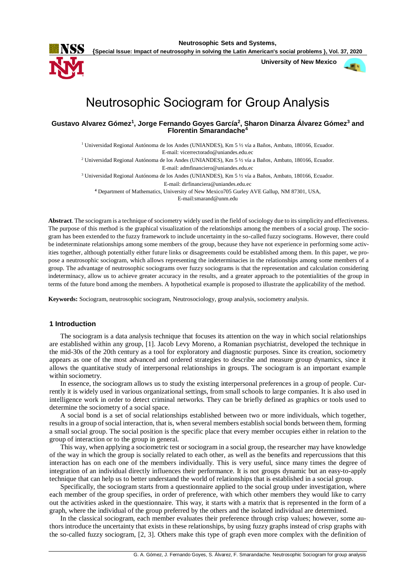

**Neutrosophic Sets and Systems,** 

**{Special Issue: Impact of neutrosophy in solving the Latin American's social problems }, Vol. 37, 2020**

 **University of New Mexico**



# Neutrosophic Sociogram for Group Analysis

**Gustavo Alvarez Gómez<sup>1</sup> , Jorge Fernando Goyes García<sup>2</sup> , Sharon Dinarza Álvarez Gómez<sup>3</sup> and Florentin Smarandache<sup>4</sup>**

<sup>1</sup> Universidad Regional Autónoma de los Andes (UNIANDES), Km 5 ½ vía a Baños, Ambato, 180166, Ecuador. E-mail: vicerrectorado@uniandes.edu.ec

<sup>2</sup> Universidad Regional Autónoma de los Andes (UNIANDES), Km 5 ½ vía a Baños, Ambato, 180166, Ecuador.

E-mail: admfinanciero@uniandes.edu.ec

<sup>3</sup> Universidad Regional Autónoma de los Andes (UNIANDES), Km 5 ½ vía a Baños, Ambato, 180166, Ecuador.

E-mail: dirfinanciera@uniandes.edu.ec

**<sup>4</sup>** Department of Mathematics, University of New Mexico705 Gurley AVE Gallup, NM 87301, USA,

E-mail:smarand@unm.edu

**Abstract**. The sociogram is a technique of sociometry widely used in the field of sociology due to its simplicity and effectiveness. The purpose of this method is the graphical visualization of the relationships among the members of a social group. The sociogram has been extended to the fuzzy framework to include uncertainty in the so-called fuzzy sociograms. However, there could be indeterminate relationships among some members of the group, because they have not experience in performing some activities together, although potentially either future links or disagreements could be established among them. In this paper, we propose a neutrosophic sociogram, which allows representing the indeterminacies in the relationships among some members of a group. The advantage of neutrosophic sociograms over fuzzy sociograms is that the representation and calculation considering indeterminacy, allow us to achieve greater accuracy in the results, and a greater approach to the potentialities of the group in terms of the future bond among the members. A hypothetical example is proposed to illustrate the applicability of the method.

**Keywords:** Sociogram, neutrosophic sociogram, Neutrosociology, group analysis, sociometry analysis.

#### **1 Introduction**

The sociogram is a data analysis technique that focuses its attention on the way in which social relationships are established within any group, [1]. Jacob Levy Moreno, a Romanian psychiatrist, developed the technique in the mid-30s of the 20th century as a tool for exploratory and diagnostic purposes. Since its creation, sociometry appears as one of the most advanced and ordered strategies to describe and measure group dynamics, since it allows the quantitative study of interpersonal relationships in groups. The sociogram is an important example within sociometry.

In essence, the sociogram allows us to study the existing interpersonal preferences in a group of people. Currently it is widely used in various organizational settings, from small schools to large companies. It is also used in intelligence work in order to detect criminal networks. They can be briefly defined as graphics or tools used to determine the sociometry of a social space.

A social bond is a set of social relationships established between two or more individuals, which together, results in a group of social interaction, that is, when several members establish social bonds between them, forming a small social group. The social position is the specific place that every member occupies either in relation to the group of interaction or to the group in general.

This way, when applying a sociometric test or sociogram in a social group, the researcher may have knowledge of the way in which the group is socially related to each other, as well as the benefits and repercussions that this interaction has on each one of the members individually. This is very useful, since many times the degree of integration of an individual directly influences their performance. It is not groups dynamic but an easy-to-apply technique that can help us to better understand the world of relationships that is established in a social group.

Specifically, the sociogram starts from a questionnaire applied to the social group under investigation, where each member of the group specifies, in order of preference, with which other members they would like to carry out the activities asked in the questionnaire. This way, it starts with a matrix that is represented in the form of a graph, where the individual of the group preferred by the others and the isolated individual are determined.

In the classical sociogram, each member evaluates their preference through crisp values; however, some authors introduce the uncertainty that exists in these relationships, by using fuzzy graphs instead of crisp graphs with the so-called fuzzy sociogram, [2, 3]. Others make this type of graph even more complex with the definition of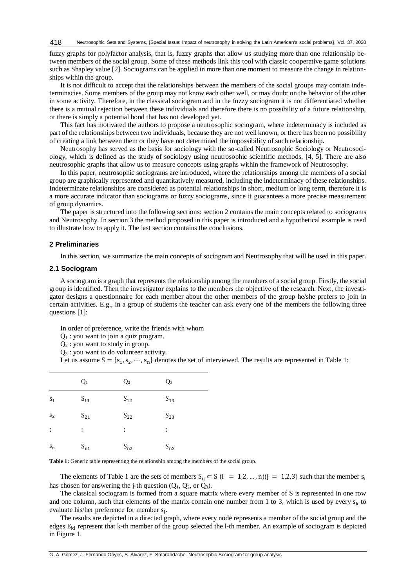fuzzy graphs for polyfactor analysis, that is, fuzzy graphs that allow us studying more than one relationship between members of the social group. Some of these methods link this tool with classic cooperative game solutions such as Shapley value [2]. Sociograms can be applied in more than one moment to measure the change in relationships within the group.

It is not difficult to accept that the relationships between the members of the social groups may contain indeterminacies. Some members of the group may not know each other well, or may doubt on the behavior of the other in some activity. Therefore, in the classical sociogram and in the fuzzy sociogram it is not differentiated whether there is a mutual rejection between these individuals and therefore there is no possibility of a future relationship, or there is simply a potential bond that has not developed yet.

This fact has motivated the authors to propose a neutrosophic sociogram, where indeterminacy is included as part of the relationships between two individuals, because they are not well known, or there has been no possibility of creating a link between them or they have not determined the impossibility of such relationship.

Neutrosophy has served as the basis for sociology with the so-called Neutrosophic Sociology or Neutrosociology, which is defined as the study of sociology using neutrosophic scientific methods, [4, 5]. There are also neutrosophic graphs that allow us to measure concepts using graphs within the framework of Neutrosophy.

In this paper, neutrosophic sociograms are introduced, where the relationships among the members of a social group are graphically represented and quantitatively measured, including the indeterminacy of these relationships. Indeterminate relationships are considered as potential relationships in short, medium or long term, therefore it is a more accurate indicator than sociograms or fuzzy sociograms, since it guarantees a more precise measurement of group dynamics.

The paper is structured into the following sections: section 2 contains the main concepts related to sociograms and Neutrosophy. In section 3 the method proposed in this paper is introduced and a hypothetical example is used to illustrate how to apply it. The last section contains the conclusions.

#### **2 Preliminaries**

In this section, we summarize the main concepts of sociogram and Neutrosophy that will be used in this paper.

#### **2.1 Sociogram**

A sociogram is a graph that represents the relationship among the members of a social group. Firstly, the social group is identified. Then the investigator explains to the members the objective of the research. Next, the investigator designs a questionnaire for each member about the other members of the group he/she prefers to join in certain activities. E.g., in a group of students the teacher can ask every one of the members the following three questions [1]:

In order of preference, write the friends with whom

Q<sup>1</sup> : you want to join a quiz program.

 $Q_2$ : you want to study in group.

Q<sup>3</sup> : you want to do volunteer activity.

Let us assume  $S = \{s_1, s_2, \dots, s_n\}$  denotes the set of interviewed. The results are represented in Table 1:

|                      | $Q_1$    | Q <sub>2</sub> | $Q_3$    |
|----------------------|----------|----------------|----------|
| $S_1$                | $S_{11}$ | $S_{12}$       | $S_{13}$ |
| $\mathbf{s}_2$       | $S_{21}$ | $S_{22}$       | $S_{23}$ |
| $\vdots$             | ÷.       | ÷              | ŧ.       |
| $\mathbf{s}_{\rm n}$ | $S_{n1}$ | $S_{n2}$       | $S_{n3}$ |

**Table 1:** Generic table representing the relationship among the members of the social group.

The elements of Table 1 are the sets of members  $S_{ij} \subset S$  (i = 1,2, ..., n)(j = 1,2,3) such that the member  $s_i$ has chosen for answering the j-th question  $(Q_1, Q_2, \text{or } Q_3)$ .

The classical sociogram is formed from a square matrix where every member of S is represented in one row and one column, such that elements of the matrix contain one number from 1 to 3, which is used by every  $s_k$  to evaluate his/her preference for member  $s<sub>l</sub>$ .

The results are depicted in a directed graph, where every node represents a member of the social group and the edges Ekl represent that k-th member of the group selected the l-th member. An example of sociogram is depicted in Figure 1.

G. A. Gómez, J. Fernando Goyes, S. Álvarez, F. Smarandache. Neutrosophic Sociogram for group analysis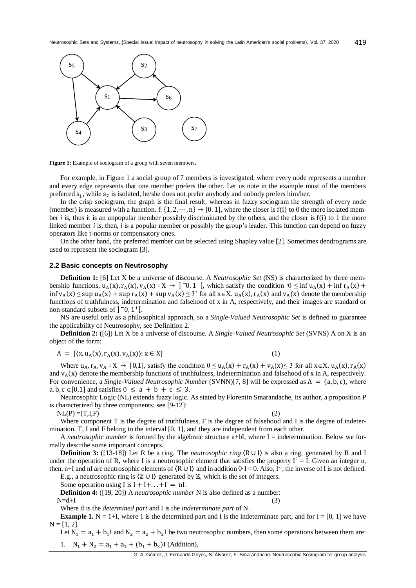

**Figure 1:** Example of sociogram of a group with seven members.

For example, in Figure 1 a social group of 7 members is investigated, where every node represents a member and every edge represents that one member prefers the other. Let us note in the example most of the members preferred  $s_1$ , while  $s_7$  is isolated, he/she does not prefer anybody and nobody prefers him/her.

In the crisp sociogram, the graph is the final result, whereas in fuzzy sociogram the strength of every node (member) is measured with a function. f:  $\{1, 2, \dots, n\} \rightarrow [0, 1]$ , where the closer is f(i) to 0 the more isolated member *i* is, thus it is an unpopular member possibly discriminated by the others, and the closer is f(i) to 1 the more linked member *i* is, then, *i* is a popular member or possibly the group's leader. This function can depend on fuzzy operators like t-norms or compensatory ones.

On the other hand, the preferred member can be selected using Shapley value [2]. Sometimes dendrograms are used to represent the sociogram [3].

#### **2.2 Basic concepts on Neutrosophy**

**Definition 1:** [6] Let X be a universe of discourse. A *Neutrosophic Set* (NS) is characterized by three membership functions,  $u_A(x)$ ,  $r_A(x)$ ,  $v_A(x)$ :  $X \to 0$ ,  $\infty$ ,  $1^+$ [, which satisfy the condition  $0 \le \inf u_A(x) + \inf r_A(x) +$  $\inf v_A(x) \leq \sup u_A(x) + \sup r_A(x) + \sup v_A(x) \leq 3^+$  for all  $x \in X$ .  $u_A(x)$ ,  $r_A(x)$  and  $v_A(x)$  denote the membership functions of truthfulness, indetermination and falsehood of x in A, respectively, and their images are standard or non-standard subsets of  $]$ <sup>-</sup>0, 1<sup>+</sup>[.

NS are useful only as a philosophical approach, so a *Single-Valued Neutrosophic Set* is defined to guarantee the applicability of Neutrosophy, see Definition 2.

**Definition 2:** ([6]) Let X be a universe of discourse. A *Single-Valued Neutrosophic Set* (SVNS) A on X is an object of the form:

$$
A = \{ (x, u_A(x), r_A(x), v_A(x)) : x \in X \}
$$
 (1)

Where  $u_A$ ,  $r_A$ ,  $v_A : X \to [0,1]$ , satisfy the condition  $0 \le u_A(x) + r_A(x) + v_A(x) \le 3$  for all  $x \in X$ .  $u_A(x)$ ,  $r_A(x)$ and  $v_A(x)$  denote the membership functions of truthfulness, indetermination and falsehood of x in A, respectively. For convenience, a *Single-Valued Neutrosophic Number* (SVNN)[7, 8] will be expressed as A = (a, b, c), where a, b, c  $\in$  [0,1] and satisfies  $0 \le a + b + c \le 3$ .

Neutrosophic Logic (NL) extends fuzzy logic. As stated byFlorentin Smarandache, its author, a proposition P is characterized by three components; see [9-12]:

 $NL(P) = (T, I, F)$  (2)

Where component T is the degree of truthfulness, F is the degree of falsehood and I is the degree of indetermination. T, I and F belong to the interval [0, 1], and they are independent from each other.

A *neutrosophic number* is formed by the algebraic structure a+bI, where I = indetermination. Below we formally describe some important concepts.

**Definition 3:** ([13-18]) Let R be a ring. The *neutrosophic ring*  $\langle R \cup I \rangle$  is also a ring, generated by R and I under the operation of R, where I is a neutrosophic element that satisfies the property  $I^2 = I$ . Given an integer n, then, n+I and nI are neutrosophic elements of  $(R \cup I)$  and in addition  $0 \cdot I = 0$ . Also, I<sup>-1</sup>, the inverse of I is not defined.

E.g., a neutrosophic ring is  $(\mathbb{Z} \cup I)$  generated by  $\mathbb{Z}$ , which is the set of integers.

Some operation using I is  $I + I + ... + I = nI$ .

**Definition 4:** ([19, 20]) A *neutrosophic number* N is also defined as a number:

 $N=d+I$  (3)

Where d is the *determined part* and I is the *indeterminate part* of N.

**Example 1.** N = 1+I, where 1 is the determined part and I is the indeterminate part, and for  $I = [0, 1]$  we have  $N = [1, 2].$ 

Let  $N_1 = a_1 + b_1 I$  and  $N_2 = a_2 + b_2 I$  be two neutrosophic numbers, then some operations between them are: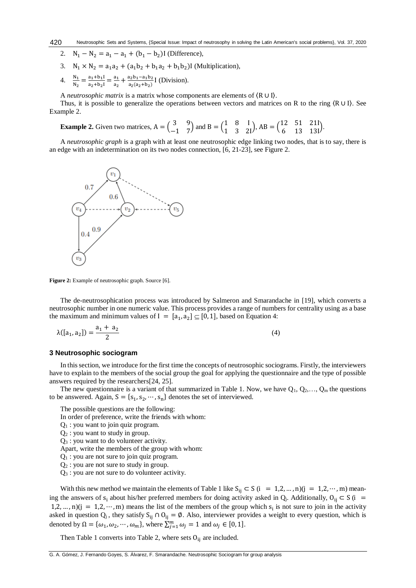- 2.  $N_1 N_2 = a_1 a_1 + (b_1 b_2)$ I (Difference),
- 3.  $N_1 \times N_2 = a_1 a_2 + (a_1 b_2 + b_1 a_2 + b_1 b_2)$  (Multiplication),
- 4.  $\frac{N_1}{N_2} = \frac{a_1 + b_1 I}{a_2 + b_2 I}$  $\frac{a_1+b_1I}{a_2+b_2I} = \frac{a_1}{a_2}$  $\frac{a_1}{a_2} + \frac{a_2b_1 - a_1b_2}{a_2(a_2+b_2)}$  $\frac{a_2b_1-a_1b_2}{a_2(a_2+b_2)}$  [ (Division).

A *neutrosophic matrix* is a matrix whose components are elements of 〈R ∪ I〉.

Thus, it is possible to generalize the operations between vectors and matrices on R to the ring  $(R \cup I)$ . See Example 2.

**Example 2.** Given two matrices, 
$$
A = \begin{pmatrix} 3 & 9 \ -1 & 7 \end{pmatrix}
$$
 and  $B = \begin{pmatrix} 1 & 8 & 1 \ 1 & 3 & 21 \end{pmatrix}$ ,  $AB = \begin{pmatrix} 12 & 51 & 211 \ 6 & 13 & 131 \end{pmatrix}$ .

A *neutrosophic graph* is a graph with at least one neutrosophic edge linking two nodes, that is to say, there is an edge with an indetermination on its two nodes connection, [6, 21-23], see Figure 2.



**Figure 2:** Example of neutrosophic graph. Source [6].

The de-neutrosophication process was introduced by Salmeron and Smarandache in [19], which converts a neutrosophic number in one numeric value. This process provides a range of numbers for centrality using as a base the maximum and minimum values of  $I = [a_1, a_2] \subseteq [0, 1]$ , based on Equation 4:

$$
\lambda([a_1, a_2]) = \frac{a_1 + a_2}{2} \tag{4}
$$

#### **3 Neutrosophic sociogram**

In this section, we introduce for the first time the concepts of neutrosophic sociograms. Firstly, the interviewers have to explain to the members of the social group the goal for applying the questionnaire and the type of possible answers required by the researchers[24, 25].

The new questionnaire is a variant of that summarized in Table 1. Now, we have  $Q_1, Q_2, \ldots, Q_m$  the questions to be answered. Again,  $S = \{s_1, s_2, \dots, s_n\}$  denotes the set of interviewed.

The possible questions are the following:

- In order of preference, write the friends with whom:
- $Q_1$ : you want to join quiz program.
- Q<sup>2</sup> : you want to study in group.
- Q<sup>3</sup> : you want to do volunteer activity.
- Apart, write the members of the group with whom:
- $Q_1$ : you are not sure to join quiz program.
- Q<sup>2</sup> : you are not sure to study in group.
- Q<sup>3</sup> : you are not sure to do volunteer activity.

With this new method we maintain the elements of Table 1 like  $S_{ij} \subset S$  (i = 1,2, ..., n)(j = 1,2, ..., m) meaning the answers of s<sub>i</sub> about his/her preferred members for doing activity asked in Q<sub>j</sub>. Additionally, O<sub>ij</sub> ⊂ S (i = 1,2, ..., n)( $j = 1, 2, \dots, m$ ) means the list of the members of the group which  $s_i$  is not sure to join in the activity asked in question  $Q_j$ , they satisfy S<sub>ij</sub> ∩ O<sub>ij</sub> = Ø. Also, interviewer provides a weight to every question, which is denoted by  $\Omega = {\omega_1, \omega_2, \cdots, \omega_m}$ , where  $\sum_{j=1}^{m} \omega_j = 1$  and  $\omega_j \in [0, 1]$ .

Then Table 1 converts into Table 2, where sets  $O_{ij}$  are included.

G. A. Gómez, J. Fernando Goyes, S. Álvarez, F. Smarandache. Neutrosophic Sociogram for group analysis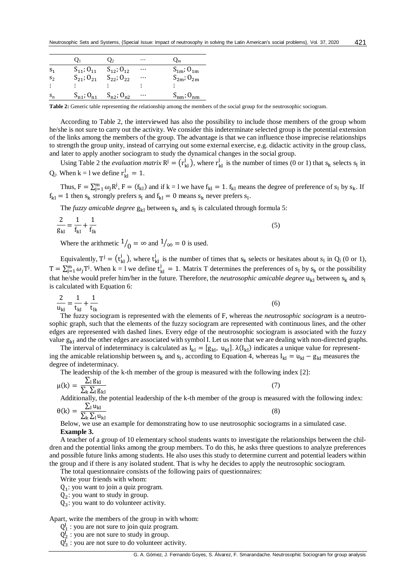|                | $\mathbf{O}_1$      | O <sub>2</sub>                          | $\cdots$ | $Q_{\rm m}$         |
|----------------|---------------------|-----------------------------------------|----------|---------------------|
| S <sub>1</sub> | $S_{11}$ ; $O_{11}$ | $S_{12}$ ; $O_{12}$                     | $\cdots$ | $S_{1m}$ ; $O_{1m}$ |
| S <sub>2</sub> |                     | $S_{21}$ ; $O_{21}$ $S_{22}$ ; $O_{22}$ | $\cdots$ | $S_{2m}$ ; $O_{2m}$ |
| ÷              |                     |                                         |          |                     |
| $S_n$          | $S_{n1}$ ; $O_{n1}$ | $S_{n2}$ ; $O_{n2}$                     | $\cdots$ | $S_{nm}$ ; $O_{nm}$ |

**Table 2:** Generic table representing the relationship among the members of the social group for the neutrosophic sociogram.

According to Table 2, the interviewed has also the possibility to include those members of the group whom he/she is not sure to carry out the activity. We consider this indeterminate selected group is the potential extension of the links among the members of the group. The advantage is that we can influence those imprecise relationships to strength the group unity, instead of carrying out some external exercise, e.g. didactic activity in the group class, and later to apply another sociogram to study the dynamical changes in the social group.

Using Table 2 the *evaluation matrix*  $R^j = (r_{kl}^j)$  $_{kl}^{j}$  ), where  $r_{kl}^{j}$  $\frac{1}{k}$  is the number of times (0 or 1) that  $s_k$  selects  $s_l$  in Q<sub>j</sub>. When  $k = 1$  we define  $r_{kl}^j = 1$ .

Thus,  $F = \sum_{j=1}^{m} \omega_j R^j$ ,  $F = (f_{kl})$  and if  $k = l$  we have  $f_{kl} = 1$ .  $f_{kl}$  means the degree of preference of  $s_l$  by  $s_k$ . If  $f_{kl} = 1$  then  $s_k$  strongly prefers  $s_l$  and  $f_{kl} = 0$  means  $s_k$  never prefers  $s_l$ .

The *fuzzy amicable degree*  $g_{kl}$  between  $s_k$  and  $s_l$  is calculated through formula 5:

$$
\frac{2}{g_{kl}} = \frac{1}{f_{kl}} + \frac{1}{f_{lk}}
$$
(5)

Where the arithmetic  $\frac{1}{0} = \infty$  and  $\frac{1}{\infty} = 0$  is used.

Equivalently,  $T^j = (t^j_{kl})$  $_{\rm kl}^{\rm j}$  ), where  ${\rm t}_{\rm kl}^{\rm j}$  $\mu$  is the number of times that  $s_k$  selects or hesitates about  $s_l$  in  $Q_j$  (0 or 1),  $T = \sum_{j=1}^{m} \omega_j T^j$ . When k = 1 we define  $t_{kl}^j = 1$ . Matrix T determines the preferences of  $s_l$  by  $s_k$  or the possibility that he/she would prefer him/her in the future. Therefore, the *neutrosophic amicable degree* u<sub>kl</sub> between s<sub>k</sub> and s<sub>l</sub> is calculated with Equation 6:

$$
\frac{2}{u_{kl}} = \frac{1}{t_{kl}} + \frac{1}{t_{lk}}
$$
(6)

The fuzzy sociogram is represented with the elements of F, whereas the *neutrosophic sociogram* is a neutrosophic graph, such that the elements of the fuzzy sociogram are represented with continuous lines, and the other edges are represented with dashed lines. Every edge of the neutrosophic sociogram is associated with the fuzzy value  $g_{kl}$  and the other edges are associated with symbol I. Let us note that we are dealing with non-directed graphs.

The interval of indeterminacy is calculated as  $I_{kl} = [g_{kl}, u_{kl}]$ .  $\lambda(I_{kl})$  indicates a unique value for representing the amicable relationship between  $s_k$  and  $s_l$ , according to Equation 4, whereas  $I_{kl} = u_{kl} - g_{kl}$  measures the degree of indeterminacy.

The leadership of the k-th member of the group is measured with the following index [2]:

$$
\mu(k) = \frac{\sum_{l} g_{kl}}{\sum_{k} \sum_{l} g_{kl}} \tag{7}
$$

Additionally, the potential leadership of the k-th member of the group is measured with the following index:

$$
\theta(k) = \frac{\sum_{l} u_{kl}}{\sum_{k} \sum_{l} u_{kl}}
$$

Below, we use an example for demonstrating how to use neutrosophic sociograms in a simulated case. **Example 3.**

A teacher of a group of 10 elementary school students wants to investigate the relationships between the children and the potential links among the group members. To do this, he asks three questions to analyze preferences and possible future links among students. He also uses this study to determine current and potential leaders within the group and if there is any isolated student. That is why he decides to apply the neutrosophic sociogram.

The total questionnaire consists of the following pairs of questionnaires:

Write your friends with whom:

 $Q_1$ : you want to join a quiz program.

 $Q_2$ : you want to study in group.

 $Q_3$ : you want to do volunteer activity.

Apart, write the members of the group in with whom:

- $Q_1^I$ : you are not sure to join quiz program.
- $Q_2^{\dagger}$ : you are not sure to study in group.
- $Q_3^I$ : you are not sure to do volunteer activity.

(8)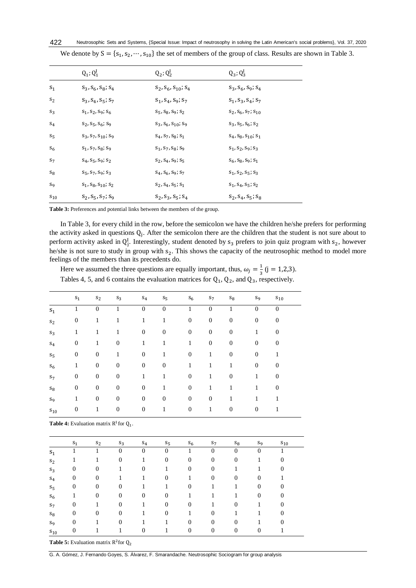|          | $Q_1$ ; $Q_1^I$                  | $Q_2$ ; $Q_2^I$                  | $Q_3$ ; $Q_3^I$                  |  |
|----------|----------------------------------|----------------------------------|----------------------------------|--|
| $S_1$    | $S_3, S_6, S_8, S_4$             | $S_2$ , $S_6$ , $S_{10}$ ; $S_4$ | $S_3$ , $S_6$ , $S_9$ ; $S_4$    |  |
| $S_2$    | $S_3, S_4, S_5; S_7$             | $S_1, S_4, S_9; S_7$             | $S_1$ , $S_3$ , $S_4$ ; $S_7$    |  |
| $S_3$    | $S_1, S_2, S_9; S_6$             | $S_5$ , $S_8$ , $S_9$ ; $S_2$    | $S_2, S_6, S_7, S_{10}$          |  |
| $S_4$    | $S_2, S_5, S_6, S_9$             | $S_3, S_6, S_{10}$ ; S9          | $S_3, S_5, S_6, S_2$             |  |
| $S_5$    | $S_3, S_7, S_{10}$ ; S9          | $S_4$ , $S_7$ , $S_8$ ; $S_1$    | $S_4$ , $S_8$ , $S_{10}$ ; $S_1$ |  |
| $S_6$    | $S_1, S_7, S_8; S_9$             | $S_1, S_7, S_8, S_9$             | $S_1, S_2, S_9, S_3$             |  |
| $S_7$    | $S_4$ , $S_5$ , $S_9$ ; $S_2$    | $S_2, S_4, S_9, S_5$             | $S_6$ , $S_8$ , $S_9$ ; $S_1$    |  |
| $S_8$    | $S_5, S_7, S_9; S_3$             | $S_4$ , $S_6$ , $S_9$ ; $S_7$    | $S_1, S_2, S_5; S_3$             |  |
| $S_9$    | $S_1$ , $S_8$ , $S_{10}$ ; $S_2$ | $S_2, S_4, S_5, S_1$             | $S_1, S_4, S_5; S_2$             |  |
| $S_{10}$ | $S_2, S_5, S_7; S_9$             | $S_2, S_3, S_5, S_4$             | $S_2, S_4, S_5, S_8$             |  |

We denote by  $S = \{s_1, s_2, \dots, s_{10}\}\$  the set of members of the group of class. Results are shown in Table 3.

**Table 3:** Preferences and potential links between the members of the group.

In Table 3, for every child in the row, before the semicolon we have the children he/she prefers for performing the activity asked in questions  $Q_j$ . After the semicolon there are the children that the student is not sure about to perform activity asked in  $Q_j^I$ . Interestingly, student denoted by  $s_3$  prefers to join quiz program with  $s_2$ , however he/she is not sure to study in group with  $s_2$ . This shows the capacity of the neutrosophic method to model more feelings of the members than its precedents do.

Here we assumed the three questions are equally important, thus,  $\omega_j = \frac{1}{3}$  $\frac{1}{3}$  (j = 1,2,3). Tables 4, 5, and 6 contains the evaluation matrices for  $Q_1$ ,  $Q_2$ , and  $Q_3$ , respectively.

|                | $S_1$            | $S_2$            | $S_3$            | $S_4$            | $S_5$        | $S_6$            | $S_7$            | $S_8$            | $S_9$            | $S_{10}$         |  |
|----------------|------------------|------------------|------------------|------------------|--------------|------------------|------------------|------------------|------------------|------------------|--|
| $S_1$          | 1                | $\overline{0}$   | 1                | $\overline{0}$   | $\theta$     | 1                | $\overline{0}$   | 1                | $\overline{0}$   | $\mathbf{0}$     |  |
| $S_2$          | $\boldsymbol{0}$ | 1                | 1                | 1                | 1            | $\boldsymbol{0}$ | $\boldsymbol{0}$ | $\boldsymbol{0}$ | $\boldsymbol{0}$ | $\boldsymbol{0}$ |  |
| $S_3$          | 1                | 1                | $\mathbf{1}$     | $\boldsymbol{0}$ | $\mathbf{0}$ | $\boldsymbol{0}$ | $\boldsymbol{0}$ | $\boldsymbol{0}$ | $\mathbf{1}$     | $\boldsymbol{0}$ |  |
| $S_4$          | $\boldsymbol{0}$ | 1                | $\boldsymbol{0}$ | 1                | 1            | 1                | $\boldsymbol{0}$ | $\boldsymbol{0}$ | $\boldsymbol{0}$ | $\mathbf{0}$     |  |
| $S_5$          | $\boldsymbol{0}$ | $\boldsymbol{0}$ | 1                | $\boldsymbol{0}$ | 1            | $\boldsymbol{0}$ | 1                | $\boldsymbol{0}$ | $\boldsymbol{0}$ | 1                |  |
| $S_6$          | 1                | $\boldsymbol{0}$ | $\boldsymbol{0}$ | $\boldsymbol{0}$ | $\mathbf{0}$ | 1                | 1                | 1                | $\boldsymbol{0}$ | $\boldsymbol{0}$ |  |
| S <sub>7</sub> | $\boldsymbol{0}$ | $\boldsymbol{0}$ | $\boldsymbol{0}$ | 1                | 1            | $\boldsymbol{0}$ | 1                | $\boldsymbol{0}$ | 1                | $\mathbf{0}$     |  |
| $\mathrm{s}_8$ | $\boldsymbol{0}$ | $\boldsymbol{0}$ | $\boldsymbol{0}$ | $\boldsymbol{0}$ | 1            | $\boldsymbol{0}$ | 1                | 1                | 1                | $\boldsymbol{0}$ |  |
| S <sub>9</sub> | 1                | $\boldsymbol{0}$ | $\boldsymbol{0}$ | $\boldsymbol{0}$ | $\mathbf{0}$ | $\boldsymbol{0}$ | $\boldsymbol{0}$ | 1                | 1                | 1                |  |
| $S_{10}$       | $\boldsymbol{0}$ | 1                | $\boldsymbol{0}$ | $\boldsymbol{0}$ | 1            | $\boldsymbol{0}$ | 1                | $\boldsymbol{0}$ | $\boldsymbol{0}$ |                  |  |

**Table 4:** Evaluation matrix  $R^1$  for  $Q_1$ .

|          | $S_1$            | $S_2$          | $S_3$            | $S_4$        | $S_5$        | $S_6$            | $S_7$          | $S_8$        | $S_9$        | $S_{10}$       |
|----------|------------------|----------------|------------------|--------------|--------------|------------------|----------------|--------------|--------------|----------------|
| $S_1$    |                  |                | $\mathbf{0}$     | $\theta$     | $\Omega$     |                  | $\Omega$       | $\Omega$     | $\Omega$     |                |
| $S_2$    |                  |                | $\boldsymbol{0}$ |              | $\theta$     | $\boldsymbol{0}$ | $\mathbf{0}$   | $\theta$     |              | $\overline{0}$ |
| $S_3$    | $\boldsymbol{0}$ | $\theta$       | 1                | $\mathbf{0}$ |              | $\theta$         | $\mathbf{0}$   |              |              | $\overline{0}$ |
| $S_4$    | $\boldsymbol{0}$ | $\overline{0}$ | 1                |              | $\mathbf{0}$ | 1                | $\mathbf{0}$   | $\mathbf{0}$ | $\mathbf{0}$ |                |
| $S_5$    | $\boldsymbol{0}$ | $\overline{0}$ | $\boldsymbol{0}$ |              |              | $\theta$         |                | 1            | $\mathbf{0}$ | $\overline{0}$ |
| $S_6$    | 1                | $\mathbf{0}$   | $\mathbf{0}$     | $\mathbf{0}$ | $\mathbf{0}$ | 1                |                | 1            | $\mathbf{0}$ | $\overline{0}$ |
| $S_7$    | $\boldsymbol{0}$ |                | $\mathbf{0}$     | 1            | $\mathbf{0}$ | $\theta$         |                | $\theta$     |              | $\Omega$       |
| $S_8$    | $\boldsymbol{0}$ | $\overline{0}$ | $\mathbf{0}$     |              | $\mathbf{0}$ | 1                | $\overline{0}$ |              |              | $\Omega$       |
| $S_9$    | $\boldsymbol{0}$ |                | $\theta$         |              |              | $\theta$         | $\mathbf{0}$   | $\Omega$     |              | 0              |
| $S_{10}$ | $\Omega$         |                |                  | $\Omega$     |              | $\Omega$         | $\overline{0}$ | $\Omega$     | $\Omega$     |                |

**Table 5:** Evaluation matrix  $R^2$  for  $Q_2$ 

G. A. Gómez, J. Fernando Goyes, S. Álvarez, F. Smarandache. Neutrosophic Sociogram for group analysis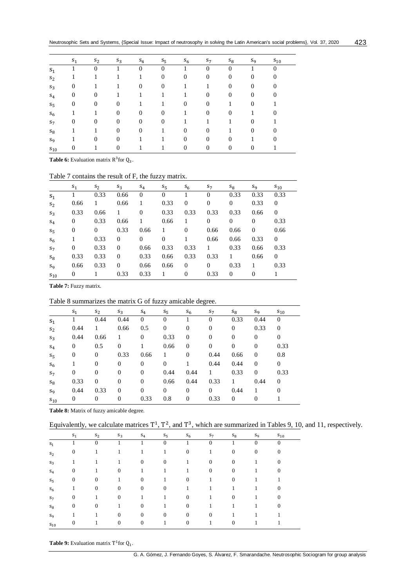|          | $S_1$          | $S_2$          | $S_3$            | $S_4$    | $S_5$          | $S_6$            | $S_7$          | $S_8$          | S9           | $S_{10}$       |
|----------|----------------|----------------|------------------|----------|----------------|------------------|----------------|----------------|--------------|----------------|
| $S_1$    |                | $\Omega$       |                  | $\Omega$ | $\Omega$       |                  | 0              | 0              |              | $\Omega$       |
| $S_2$    |                |                |                  |          | $\overline{0}$ | $\theta$         | $\mathbf{0}$   | $\mathbf{0}$   | $\mathbf{0}$ | $\overline{0}$ |
| $S_3$    | 0              |                |                  | $\theta$ | $\mathbf{0}$   |                  |                | $\theta$       | $\mathbf{0}$ | $\overline{0}$ |
| $S_4$    | $\mathbf{0}$   | $\theta$       |                  |          |                |                  | $\overline{0}$ | $\mathbf{0}$   | $\mathbf{0}$ | $\overline{0}$ |
| $S_5$    | $\overline{0}$ | $\theta$       | $\overline{0}$   |          |                | $\boldsymbol{0}$ | $\overline{0}$ |                | $\mathbf{0}$ |                |
| $S_6$    |                |                | $\boldsymbol{0}$ | $\theta$ | $\overline{0}$ | 1                | $\theta$       | $\theta$       |              | 0              |
| $S_7$    | $\mathbf{0}$   | $\theta$       | $\overline{0}$   | $\theta$ | $\overline{0}$ |                  |                |                | $\mathbf{0}$ |                |
| $S_8$    |                |                | $\boldsymbol{0}$ | $\theta$ |                | $\overline{0}$   | $\overline{0}$ |                | $\mathbf{0}$ | 0              |
| S9       |                | $\overline{0}$ | $\overline{0}$   |          |                | $\theta$         | $\overline{0}$ | $\overline{0}$ |              | 0              |
| $S_{10}$ | 0              |                | 0                |          |                | $\overline{0}$   | $\overline{0}$ | $\theta$       | $\bf{0}$     |                |

**Table 6:** Evaluation matrix  $R^3$  for  $Q_3$ .

## Table 7 contains the result of F, the fuzzy matrix.

|                    | $S_1$          | $S_2$          | $S_3$    | $S_4$          | $S_{5}$      | $S_6$          | $S_7$        | $S_8$        | $S_9$          | $S_{10}$       |
|--------------------|----------------|----------------|----------|----------------|--------------|----------------|--------------|--------------|----------------|----------------|
| $S_1$              |                | 0.33           | 0.66     | $\theta$       | $\Omega$     |                | $\Omega$     | 0.33         | 0.33           | 0.33           |
| S <sub>2</sub>     | 0.66           | 1              | 0.66     | 1              | 0.33         | $\overline{0}$ | $\theta$     | $\mathbf{0}$ | 0.33           | $\overline{0}$ |
| $S_3$              | 0.33           | 0.66           | 1        | $\overline{0}$ | 0.33         | 0.33           | 0.33         | 0.33         | 0.66           | $\theta$       |
| $S_4$              | $\mathbf{0}$   | 0.33           | 0.66     | 1              | 0.66         | 1              | $\theta$     | $\mathbf{0}$ | $\overline{0}$ | 0.33           |
| $S_{\overline{5}}$ | $\overline{0}$ | $\overline{0}$ | 0.33     | 0.66           | 1            | $\overline{0}$ | 0.66         | 0.66         | $\theta$       | 0.66           |
| $S_6$              |                | 0.33           | $\Omega$ | $\Omega$       | $\mathbf{0}$ |                | 0.66         | 0.66         | 0.33           | $\overline{0}$ |
| $S_7$              | $\overline{0}$ | 0.33           | $\theta$ | 0.66           | 0.33         | 0.33           | 1            | 0.33         | 0.66           | 0.33           |
| $S_8$              | 0.33           | 0.33           | $\theta$ | 0.33           | 0.66         | 0.33           | 0.33         |              | 0.66           | $\theta$       |
| $S_{9}$            | 0.66           | 0.33           | $\Omega$ | 0.66           | 0.66         | $\mathbf{0}$   | $\mathbf{0}$ | 0.33         | 1              | 0.33           |
| $S_{10}$           | $\mathbf{0}$   | 1              | 0.33     | 0.33           | 1            | $\overline{0}$ | 0.33         | $\mathbf{0}$ | $\Omega$       |                |

**Table 7:** Fuzzy matrix.

## Table 8 summarizes the matrix G of fuzzy amicable degree.

|                    | $S_1$            | $S_2$            | $S_3$          | $S_4$        | $S_{\overline{5}}$ | $S_6$          | $S_7$            | $S_8$        | $S_9$        | $S_{10}$ |
|--------------------|------------------|------------------|----------------|--------------|--------------------|----------------|------------------|--------------|--------------|----------|
| $S_1$              |                  | 0.44             | 0.44           | $\theta$     | $\Omega$           |                | $\Omega$         | 0.33         | 0.44         | $\Omega$ |
| S <sub>2</sub>     | 0.44             | 1                | 0.66           | 0.5          | $\theta$           | $\theta$       | $\boldsymbol{0}$ | $\mathbf{0}$ | 0.33         | $\theta$ |
| $S_3$              | 0.44             | 0.66             |                | $\theta$     | 0.33               | $\theta$       | $\theta$         | $\theta$     | $\Omega$     | $\theta$ |
| $S_4$              | $\mathbf{0}$     | 0.5              | $\theta$       |              | 0.66               | $\theta$       | $\mathbf{0}$     | $\mathbf{0}$ | $\mathbf{0}$ | 0.33     |
| $S_{\overline{5}}$ | $\boldsymbol{0}$ | $\mathbf{0}$     | 0.33           | 0.66         |                    | $\theta$       | 0.44             | 0.66         | $\theta$     | 0.8      |
| $S_6$              |                  | $\mathbf{0}$     | $\theta$       | $\theta$     | $\theta$           |                | 0.44             | 0.44         | $\theta$     | $\Omega$ |
| S <sub>7</sub>     | $\overline{0}$   | $\mathbf{0}$     | $\overline{0}$ | $\theta$     | 0.44               | 0.44           | 1                | 0.33         | $\theta$     | 0.33     |
| $S_8$              | 0.33             | $\mathbf{0}$     | $\overline{0}$ | $\theta$     | 0.66               | 0.44           | 0.33             | 1            | 0.44         | $\theta$ |
| $S_{9}$            | 0.44             | 0.33             | $\theta$       | $\mathbf{0}$ | $\overline{0}$     | $\mathbf{0}$   | $\overline{0}$   | 0.44         | 1            | $\Omega$ |
| $S_{10}$           | $\mathbf{0}$     | $\boldsymbol{0}$ | $\overline{0}$ | 0.33         | 0.8                | $\overline{0}$ | 0.33             | $\mathbf{0}$ | $\theta$     |          |

**Table 8:** Matrix of fuzzy amicable degree.

Equivalently, we calculate matrices  $T^1$ ,  $T^2$ , and  $T^3$ , which are summarized in Tables 9, 10, and 11, respectively.

|          | $S_1$            | $S_2$        | $S_3$    | $S_4$          | $S_5$        | $S_6$        | $S_7$    | $S_8$        | S9               | $S_{10}$     |  |
|----------|------------------|--------------|----------|----------------|--------------|--------------|----------|--------------|------------------|--------------|--|
| $S_1$    |                  | $\Omega$     |          |                | $\Omega$     |              | $\Omega$ |              | $\Omega$         | $\Omega$     |  |
| $S_2$    | $\boldsymbol{0}$ | 1            |          |                | 1            | $\mathbf{0}$ | 1        | $\mathbf{0}$ | $\boldsymbol{0}$ | $\mathbf{0}$ |  |
| $S_3$    |                  | 1            |          | $\theta$       | $\mathbf{0}$ | 1            | $\theta$ | $\mathbf{0}$ | 1                | $\Omega$     |  |
| $S_4$    | $\boldsymbol{0}$ | 1            | $\theta$ | 1              |              | 1            | $\theta$ | $\mathbf{0}$ | 1                | $\mathbf{0}$ |  |
| $S_{5}$  | $\boldsymbol{0}$ | $\mathbf{0}$ | 1        | $\mathbf{0}$   |              | $\mathbf{0}$ | 1        | $\mathbf{0}$ |                  |              |  |
| $S_6$    | 1                | $\theta$     | $\theta$ | $\theta$       | $\mathbf{0}$ | 1            | 1        | 1            |                  | $\Omega$     |  |
| $S_7$    | $\overline{0}$   | 1            | $\theta$ | 1              |              | $\mathbf{0}$ | 1        | $\mathbf{0}$ | 1                | $\mathbf{0}$ |  |
| $S_8$    | $\boldsymbol{0}$ | $\mathbf{0}$ |          | $\mathbf{0}$   |              | $\mathbf{0}$ | 1        | 1            |                  | $\Omega$     |  |
| $S_{q}$  |                  | 1            | $\theta$ | $\Omega$       | $\Omega$     | $\mathbf{0}$ | $\Omega$ |              |                  |              |  |
| $S_{10}$ | $\mathbf{0}$     | 1            | $\theta$ | $\overline{0}$ | 1            | $\mathbf{0}$ | 1        | $\Omega$     |                  |              |  |

**Table 9:** Evaluation matrix  $T^1$  for  $Q_1$ .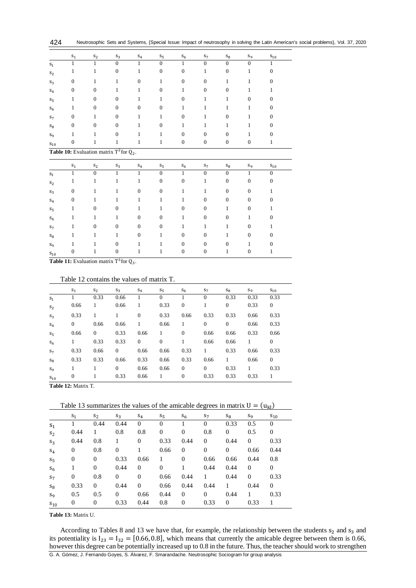| 424 | Neutrosophic Sets and Systems, {Special Issue: Impact of neutrosophy in solving the Latin American's social problems}, Vol. 37, 2020 |  |  |  |  |  |
|-----|--------------------------------------------------------------------------------------------------------------------------------------|--|--|--|--|--|
|-----|--------------------------------------------------------------------------------------------------------------------------------------|--|--|--|--|--|

|                   | $S_1$                                 | $S_2$                                                  | $S_3$                                                  | $\mathbf{S}_4$   | $S_{5}$        | $S_6$            | $S_7$            | $S_8$            | $S_9$            | $S_{10}$         |
|-------------------|---------------------------------------|--------------------------------------------------------|--------------------------------------------------------|------------------|----------------|------------------|------------------|------------------|------------------|------------------|
| $S_1$             | $\mathbf{1}$                          | 1                                                      | $\mathbf{0}$                                           | $\mathbf{1}$     | $\Omega$       | $\mathbf{1}$     | $\mathbf{0}$     | $\Omega$         | $\overline{0}$   | 1                |
| $S_2$             | 1                                     | 1                                                      | $\boldsymbol{0}$                                       | 1                | $\mathbf{0}$   | $\boldsymbol{0}$ | 1                | $\boldsymbol{0}$ | 1                | $\boldsymbol{0}$ |
| $S_3$             | $\boldsymbol{0}$                      | 1                                                      | 1                                                      | $\boldsymbol{0}$ | 1              | $\boldsymbol{0}$ | $\boldsymbol{0}$ | 1                | 1                | $\boldsymbol{0}$ |
| $S_4$             | $\mathbf{0}$                          | $\theta$                                               | 1                                                      | 1                | $\mathbf{0}$   | 1                | $\theta$         | $\mathbf{0}$     | 1                | 1                |
| $S_5$             | 1                                     | $\theta$                                               | $\boldsymbol{0}$                                       | 1                | 1              | $\boldsymbol{0}$ | 1                | 1                | $\mathbf{0}$     | 0                |
| $S_6$             | 1                                     | $\mathbf{0}$                                           | $\boldsymbol{0}$                                       | $\boldsymbol{0}$ | $\mathbf{0}$   | $\mathbf{1}$     | 1                | 1                | 1                | $\theta$         |
| $S_7$             | $\boldsymbol{0}$                      | 1                                                      | $\boldsymbol{0}$                                       | 1                | 1              | $\boldsymbol{0}$ | 1                | $\mathbf{0}$     | 1                | $\overline{0}$   |
| $S_8$             | $\overline{0}$                        | $\overline{0}$                                         | $\mathbf{0}$                                           | 1                | $\Omega$       | 1                | 1                | 1                | 1                | $\overline{0}$   |
| $S_{\rm Q}$       | 1                                     | 1                                                      | $\boldsymbol{0}$                                       | 1                | 1              | $\mathbf{0}$     | $\Omega$         | $\Omega$         | 1                | $\Omega$         |
| $S_{10}$          | $\boldsymbol{0}$                      | 1                                                      | 1                                                      | 1                | 1              | $\mathbf{0}$     | $\boldsymbol{0}$ | $\mathbf{0}$     | $\mathbf{0}$     | 1                |
|                   | $\mathbf{S}_1$                        | Table 10: Evaluation matrix $T^2$ for $Q_2$ .<br>$S_2$ | $\mathbf{S}_3$                                         | $\mathbf{S}_4$   | $S_5$          | $\mathbf{S}_6$   | $S_7$            | $\mathbf{S}_{8}$ | $S_9$            | $S_{10}$         |
| $\mathbf{s}_1$    | $\,1$                                 | $\overline{0}$                                         | $\mathbf{1}$                                           | $\mathbf{1}$     | $\overline{0}$ | $\mathbf{1}$     | $\boldsymbol{0}$ | $\overline{0}$   | $\mathbf{1}$     | $\boldsymbol{0}$ |
| $S_2$             | 1                                     | 1                                                      | 1                                                      | 1                | $\mathbf{0}$   | $\boldsymbol{0}$ | 1                | $\mathbf{0}$     | $\boldsymbol{0}$ | $\theta$         |
| $S_3$             | $\boldsymbol{0}$                      | 1                                                      | 1                                                      | $\overline{0}$   | $\mathbf{0}$   | 1                | 1                | $\mathbf{0}$     | $\overline{0}$   | 1                |
| $S_4$             | $\mathbf{0}$                          | 1                                                      | 1                                                      | 1                | 1              | 1                | $\theta$         | $\Omega$         | $\mathbf{0}$     | $\overline{0}$   |
| $S_5$             | 1                                     | $\boldsymbol{0}$                                       | $\boldsymbol{0}$                                       | 1                | 1              | $\boldsymbol{0}$ | $\theta$         | 1                | $\mathbf{0}$     | 1                |
| $S_6$             | 1                                     | 1                                                      | 1                                                      | $\mathbf{0}$     | $\Omega$       | 1                | $\mathbf{0}$     | $\mathbf{0}$     | 1                | 0                |
| $S_7$             | 1                                     | $\overline{0}$                                         | $\boldsymbol{0}$                                       | $\mathbf{0}$     | $\mathbf{0}$   | 1                | 1                | 1                | $\mathbf{0}$     | 1                |
| $S_8$             | 1                                     | 1                                                      | 1                                                      | $\boldsymbol{0}$ | 1              | $\mathbf{0}$     | $\boldsymbol{0}$ | 1                | $\mathbf{0}$     | $\overline{0}$   |
| $S_9$             | 1                                     | 1                                                      | $\mathbf{0}$                                           | 1                | 1              | $\mathbf{0}$     | $\Omega$         | $\Omega$         | 1                | $\theta$         |
| $\mathrm{S}_{10}$ | $\mathbf{0}$<br>The Life 11, The Line |                                                        | $\boldsymbol{0}$<br>$\therefore$ $\pi 3c \cdot \theta$ | 1                | 1              | $\boldsymbol{0}$ | $\mathbf{0}$     | 1                | $\mathbf{0}$     | 1                |

**Table 11:** Evaluation matrix  $T^3$  for  $Q_3$ .

## Table 12 contains the values of matrix T.

|          | $S_1$        | $S_2$          | $S_3$        | $S_4$        | $S_5$        | S <sub>6</sub> | $S_7$        | $S_8$          | $S_9$ | $S_{10}$     |
|----------|--------------|----------------|--------------|--------------|--------------|----------------|--------------|----------------|-------|--------------|
| $S_1$    |              | 0.33           | 0.66         |              | $\theta$     |                | $\theta$     | 0.33           | 0.33  | 0.33         |
| $S_2$    | 0.66         | 1              | 0.66         | 1            | 0.33         | $\overline{0}$ | 1            | $\overline{0}$ | 0.33  | $\mathbf{0}$ |
| $S_3$    | 0.33         | 1              |              | $\theta$     | 0.33         | 0.66           | 0.33         | 0.33           | 0.66  | 0.33         |
| $S_4$    | $\mathbf{0}$ | 0.66           | 0.66         | 1            | 0.66         | 1              | $\mathbf{0}$ | $\mathbf{0}$   | 0.66  | 0.33         |
| $S_{5}$  | 0.66         | $\overline{0}$ | 0.33         | 0.66         | 1            | $\overline{0}$ | 0.66         | 0.66           | 0.33  | 0.66         |
| $S_6$    |              | 0.33           | 0.33         | $\mathbf{0}$ | $\mathbf{0}$ | 1              | 0.66         | 0.66           | 1     | $\theta$     |
| $S_7$    | 0.33         | 0.66           | $\mathbf{0}$ | 0.66         | 0.66         | 0.33           | 1            | 0.33           | 0.66  | 0.33         |
| $S_8$    | 0.33         | 0.33           | 0.66         | 0.33         | 0.66         | 0.33           | 0.66         |                | 0.66  | $\theta$     |
| $S_{9}$  |              | 1              | $\Omega$     | 0.66         | 0.66         | $\mathbf{0}$   | $\theta$     | 0.33           |       | 0.33         |
| $S_{10}$ | $\mathbf{0}$ | 1              | 0.33         | 0.66         | 1            | $\mathbf{0}$   | 0.33         | 0.33           | 0.33  | 1            |

**Table 12:** Matrix T.

Table 13 summarizes the values of the amicable degrees in matrix  $U = (u_{kl})$ 

|                  | Table 15 summarizes the values of the annuable degrees in matrix $0 - (u_{kl})$ |                |              |              |                |                |              |                |          |                |  |  |
|------------------|---------------------------------------------------------------------------------|----------------|--------------|--------------|----------------|----------------|--------------|----------------|----------|----------------|--|--|
|                  | $S_1$                                                                           | $S_2$          | $S_3$        | $S_4$        | $S_5$          | $S_6$          | $S_7$        | $S_8$          | $S_{9}$  | $S_{10}$       |  |  |
| $S_1$            |                                                                                 | 0.44           | 0.44         | $\Omega$     | $\Omega$       |                | $\Omega$     | 0.33           | 0.5      | $\overline{0}$ |  |  |
| S <sub>2</sub>   | 0.44                                                                            | 1              | 0.8          | 0.8          | $\overline{0}$ | $\overline{0}$ | 0.8          | $\overline{0}$ | 0.5      | $\overline{0}$ |  |  |
| $S_3$            | 0.44                                                                            | 0.8            | 1            | $\mathbf{0}$ | 0.33           | 0.44           | $\mathbf{0}$ | 0.44           | $\Omega$ | 0.33           |  |  |
| $S_4$            | $\theta$                                                                        | 0.8            | $\mathbf{0}$ |              | 0.66           | $\overline{0}$ | $\theta$     | $\Omega$       | 0.66     | 0.44           |  |  |
| $S_{5}$          | $\overline{0}$                                                                  | $\overline{0}$ | 0.33         | 0.66         | 1              | $\overline{0}$ | 0.66         | 0.66           | 0.44     | 0.8            |  |  |
| $S_6$            | 1                                                                               | $\mathbf{0}$   | 0.44         | $\theta$     | $\mathbf{0}$   | 1              | 0.44         | 0.44           | $\theta$ | $\mathbf{0}$   |  |  |
| S <sub>7</sub>   | $\mathbf{0}$                                                                    | 0.8            | $\mathbf{0}$ | $\Omega$     | 0.66           | 0.44           | $\mathbf{1}$ | 0.44           | $\Omega$ | 0.33           |  |  |
| $S_8$            | 0.33                                                                            | $\overline{0}$ | 0.44         | $\mathbf{0}$ | 0.66           | 0.44           | 0.44         | 1              | 0.44     | $\mathbf{0}$   |  |  |
| $S_{\mathbf{Q}}$ | 0.5                                                                             | 0.5            | $\Omega$     | 0.66         | 0.44           | $\mathbf{0}$   | $\mathbf{0}$ | 0.44           | 1        | 0.33           |  |  |
| $S_{10}$         | $\overline{0}$                                                                  | $\overline{0}$ | 0.33         | 0.44         | 0.8            | $\overline{0}$ | 0.33         | $\mathbf{0}$   | 0.33     |                |  |  |

**Table 13:** Matrix U.

G. A. Gómez, J. Fernando Goyes, S. Álvarez, F. Smarandache. Neutrosophic Sociogram for group analysis According to Tables 8 and 13 we have that, for example, the relationship between the students  $s_2$  and  $s_3$  and its potentiality is  $I_{23} = I_{32} = [0.66, 0.8]$ , which means that currently the amicable degree between them is 0.66, however this degree can be potentially increased up to 0.8 in the future. Thus, the teacher should work to strengthen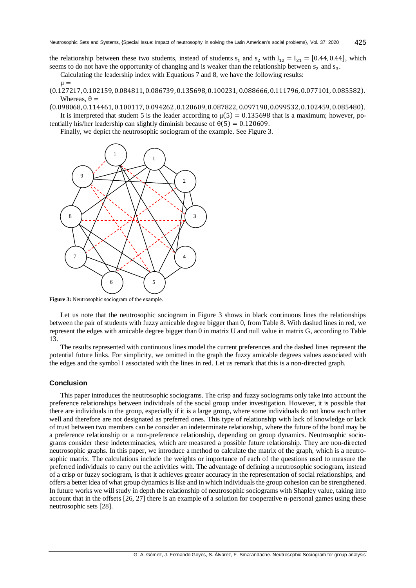the relationship between these two students, instead of students  $s_1$  and  $s_2$  with  $I_{12} = I_{21} = [0.44, 0.44]$ , which seems to do not have the opportunity of changing and is weaker than the relationship between  $s_2$  and  $s_3$ .

Calculating the leadership index with Equations 7 and 8, we have the following results:

- $\mu =$ (0.127217,0.102159, 0.084811, 0.086739,0.135698, 0.100231, 0.088666,0.111796, 0.077101, 0.085582). Whereas,  $\theta =$
- (0.098068,0.114461, 0.100117, 0.094262,0.120609, 0.087822, 0.097190,0.099532, 0.102459, 0.085480). It is interpreted that student 5 is the leader according to  $\mu(5) = 0.135698$  that is a maximum; however, po-
- tentially his/her leadership can slightly diminish because of  $\theta(5) = 0.120609$ .

Finally, we depict the neutrosophic sociogram of the example. See Figure 3.



**Figure 3:** Neutrosophic sociogram of the example.

Let us note that the neutrosophic sociogram in Figure 3 shows in black continuous lines the relationships between the pair of students with fuzzy amicable degree bigger than 0, from Table 8. With dashed lines in red, we represent the edges with amicable degree bigger than 0 in matrix U and null value in matrix G, according to Table 13.

The results represented with continuous lines model the current preferences and the dashed lines represent the potential future links. For simplicity, we omitted in the graph the fuzzy amicable degrees values associated with the edges and the symbol I associated with the lines in red. Let us remark that this is a non-directed graph.

## **Conclusion**

This paper introduces the neutrosophic sociograms. The crisp and fuzzy sociograms only take into account the preference relationships between individuals of the social group under investigation. However, it is possible that there are individuals in the group, especially if it is a large group, where some individuals do not know each other well and therefore are not designated as preferred ones. This type of relationship with lack of knowledge or lack of trust between two members can be consider an indeterminate relationship, where the future of the bond may be a preference relationship or a non-preference relationship, depending on group dynamics. Neutrosophic sociograms consider these indeterminacies, which are measured a possible future relationship. They are non-directed neutrosophic graphs. In this paper, we introduce a method to calculate the matrix of the graph, which is a neutrosophic matrix. The calculations include the weights or importance of each of the questions used to measure the preferred individuals to carry out the activities with. The advantage of defining a neutrosophic sociogram, instead of a crisp or fuzzy sociogram, is that it achieves greater accuracy in the representation of social relationships, and offers a better idea of what group dynamics is like and in which individuals the group cohesion can be strengthened. In future works we will study in depth the relationship of neutrosophic sociograms with Shapley value, taking into account that in the offsets [26, 27] there is an example of a solution for cooperative n-personal games using these neutrosophic sets [28].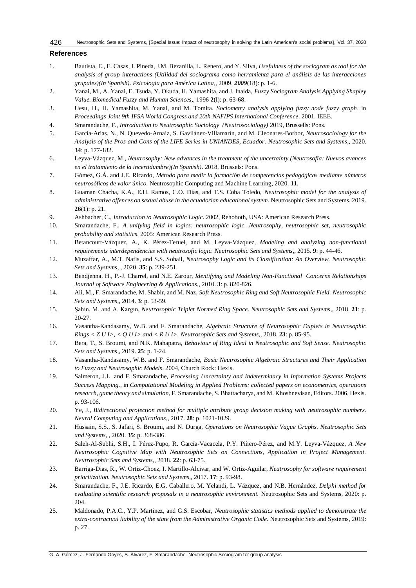#### **References**

- 1. Bautista, E., E. Casas, I. Pineda, J.M. Bezanilla, L. Renero, and Y. Silva, *Usefulness of the sociogram as tool for the analysis of group interactions (Utilidad del sociograma como herramienta para el análisis de las interacciones grupales)(In Spanish). Psicologia para América Latina*,, 2009. *2009*(18): p. 1-6.
- 2. Yanai, M., A. Yanai, E. Tsuda, Y. Okuda, H. Yamashita, and J. Inaida, *Fuzzy Sociogram Analysis Applying Shapley Value. Biomedical Fuzzy and Human Sciences*,, 1996 **2**(I): p. 63-68.
- 3. Uesu, H., H. Yamashita, M. Yanai, and M. Tomita. *Sociometry analysis applying fuzzy node fuzzy graph*. in *Proceedings Joint 9th IFSA World Congress and 20th NAFIPS International Conference*. 2001. IEEE.
- 4. Smarandache, F., *Introduction to Neutrosophic Sociology (Neutrosociology)* 2019, Brussells: Pons.
- 5. García-Arias, N., N. Quevedo-Arnaiz, S. Gavilánez-Villamarín, and M. Cleonares-Borbor, *Neutrosociology for the Analysis of the Pros and Cons of the LIFE Series in UNIANDES, Ecuador. Neutrosophic Sets and Systems*,, 2020. **34**: p. 177-182.
- 6. Leyva-Vázquez, M., *Neutrosophy: New advances in the treatment of the uncertainty (Neutrosofía: Nuevos avances en el tratamiento de la incertidumbre)(In Spanish)*. 2018, Brussels: Pons.
- 7. Gómez, G.Á. and J.E. Ricardo, *Método para medir la formación de competencias pedagógicas mediante números neutrosóficos de valor único.* Neutrosophic Computing and Machine Learning, 2020. **11**.
- 8. Guaman Chacha, K.A., E.H. Ramos, C.O. Dias, and T.S. Coba Toledo, *Neutrosophic model for the analysis of administrative offences on sexual abuse in the ecuadorian educational system.* Neutrosophic Sets and Systems, 2019. **26**(1): p. 21.
- 9. Ashbacher, C., *Introduction to Neutrosophic Logic*. 2002, Rehoboth, USA: American Research Press.
- 10. Smarandache, F., *A unifying field in logics: neutrosophic logic. Neutrosophy, neutrosophic set, neutrosophic probability and statistics*. 2005: American Research Press.
- 11. Betancourt-Vázquez, A., K. Pérez-Teruel, and M. Leyva-Vázquez, *Modeling and analyzing non-functional requirements interdependencies with neutrosofic logic. Neutrosophic Sets and Systems*,, 2015. **9**: p. 44-46.
- 12. Muzaffar, A., M.T. Nafis, and S.S. Sohail, *Neutrosophy Logic and its Classification: An Overview. Neutrosophic Sets and Systems*, , 2020. **35**: p. 239-251.
- 13. Bendjenna, H., P.-J. Charrel, and N.E. Zarour, *Identifying and Modeling Non-Functional Concerns Relationships Journal of Software Engineering & Applications*,, 2010. **3**: p. 820-826.
- 14. Ali, M., F. Smarandache, M. Shabir, and M. Naz, *Soft Neutrosophic Ring and Soft Neutrosophic Field. Neutrosophic Sets and Systems*,, 2014. **3**: p. 53-59.
- 15. Şahin, M. and A. Kargın, *Neutrosophic Triplet Normed Ring Space. Neutrosophic Sets and Systems*,, 2018. **21**: p. 20-27.
- 16. Vasantha-Kandasamy, W.B. and F. Smarandache, *Algebraic Structure of Neutrosophic Duplets in Neutrosophic Rings < Z U I>, < Q U I> and < R U I>. Neutrosophic Sets and Systems*,, 2018. **23**: p. 85-95.
- 17. Bera, T., S. Broumi, and N.K. Mahapatra, *Behaviour of Ring Ideal in Neutrosophic and Soft Sense. Neutrosophic Sets and Systems*,, 2019. **25**: p. 1-24.
- 18. Vasantha-Kandasamy, W.B. and F. Smarandache, *Basic Neutrosophic Algebraic Structures and Their Application to Fuzzy and Neutrosophic Models*. 2004, Church Rock: Hexis.
- 19. Salmeron, J.L. and F. Smarandache, *Processing Uncertainty and Indeterminacy in Information Systems Projects Success Mapping.*, in *Computational Modeling in Applied Problems: collected papers on econometrics, operations research, game theory and simulation*, F. Smarandache, S. Bhattacharya, and M. Khoshnevisan, Editors. 2006, Hexis. p. 93-106.
- 20. Ye, J., *Bidirectional projection method for multiple attribute group decision making with neutrosophic numbers. Neural Computing and Applications*,, 2017. **28**: p. 1021-1029.
- 21. Hussain, S.S., S. Jafari, S. Broumi, and N. Durga, *Operations on Neutrosophic Vague Graphs. Neutrosophic Sets and Systems*, , 2020. **35**: p. 368-386.
- 22. Saleh-Al-Subhi, S.H., I. Pérez-Pupo, R. García-Vacacela, P.Y. Piñero-Pérez, and M.Y. Leyva-Vázquez, *A New Neutrosophic Cognitive Map with Neutrosophic Sets on Connections, Application in Project Management. Neutrosophic Sets and Systems*,, 2018. **22**: p. 63-75.
- 23. Barriga-Dias, R., W. Ortiz-Choez, I. Martillo-Alcivar, and W. Ortiz-Aguilar, *Neutrosophy for software requirement prioritization. Neutrosophic Sets and Systems*,, 2017. **17**: p. 93-98.
- 24. Smarandache, F., J.E. Ricardo, E.G. Caballero, M. Yelandi, L. Vázquez, and N.B. Hernández, *Delphi method for evaluating scientific research proposals in a neutrosophic environment.* Neutrosophic Sets and Systems, 2020: p. 204.
- 25. Maldonado, P.A.C., Y.P. Martinez, and G.S. Escobar, *Neutrosophic statistics methods applied to demonstrate the extra-contractual liability of the state from the Administrative Organic Code.* Neutrosophic Sets and Systems, 2019: p. 27.